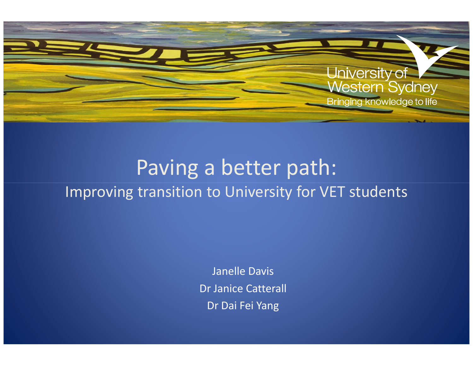

## Paving a better path: Improving transition to University for VET students

Janelle DavisDr Janice CatterallDr Dai Fei Yang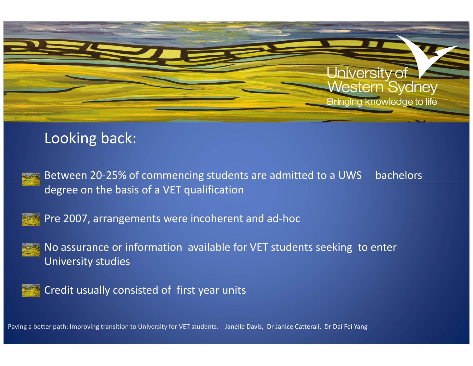

### Looking back:



Between 20-25% of commencing students are admitted to a UWS bachelors degree on the basis of a VET qualification



Pre 2007, arrangements were incoherent and ad-hoc



No assurance or information available for VET students seeking to enter University studies



Credit usually consisted of first year units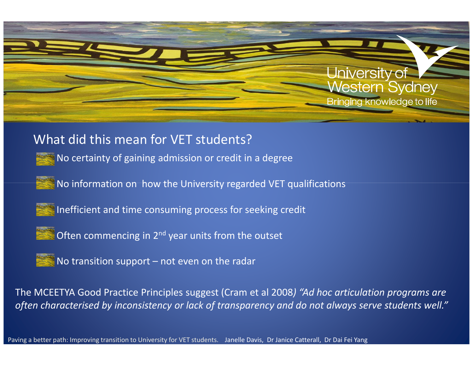

#### What did this mean for VET students?

•No certainty of gaining admission or credit in a degree

• No information on how the University regarded VET qualifications



 $\le$  Inefficient and time consuming process for seeking credit



 $\blacksquare$  Often commencing in 2<sup>nd</sup> year units from the outset



 $\blacksquare$  No transition support – not even on the radar

The MCEETYA Good Practice Principles suggest (Cram et al 2008) "Ad hoc articulation programs are often characterised by inconsistency or lack of transparency and do not always serve students well."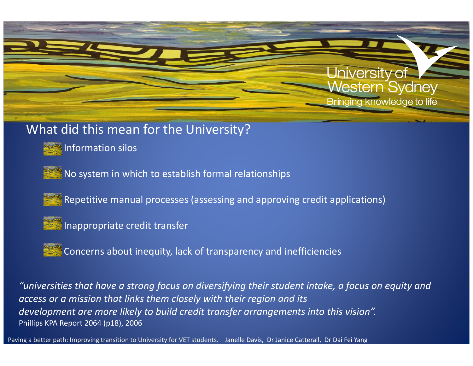

#### What did this mean for the University?

•Information silos

• $\frac{1}{3}$  No system in which to establish formal relationships

Repetitive manual processes (assessing and approving credit applications)



Inappropriate credit transfer

•Concerns about inequity, lack of transparency and inefficiencies

"universities that have a strong focus on diversifying their student intake, a focus on equity and access or a mission that links them closely with their region and itsdevelopment are more likely to build credit transfer arrangements into this vision". Phillips KPA Report 2064 (p18), 2006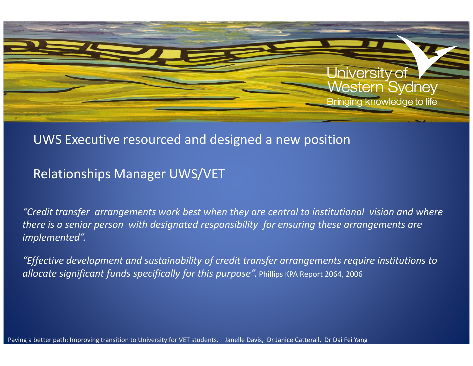

#### UWS Executive resourced and designed a new position

Relationships Manager UWS/VET

"Credit transfer arrangements work best when they are central to institutional vision and where there is a senior person with designated responsibility for ensuring these arrangements are implemented".

"Effective development and sustainability of credit transfer arrangements require institutions to **allocate significant funds specifically for this purpose".** Phillips KPA Report 2064, 2006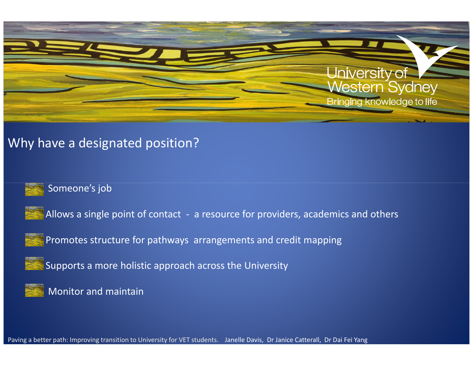

#### Why have a designated position?



#### Someone's job





Promotes structure for pathways arrangements and credit mapping



Supports a more holistic approach across the University



Monitor and maintain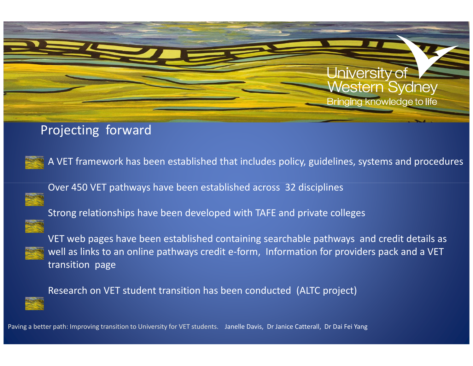

### Projecting forward



A VET framework has been established that includes policy, guidelines, systems and procedures

Over 450 VET pathways have been established across 32 disciplines



Strong relationships have been developed with TAFE and private colleges



VET web pages have been established containing searchable pathways and credit details as well as links to an online pathways credit e-form, Information for providers pack and a VET transition page



Research on VET student transition has been conducted (ALTC project)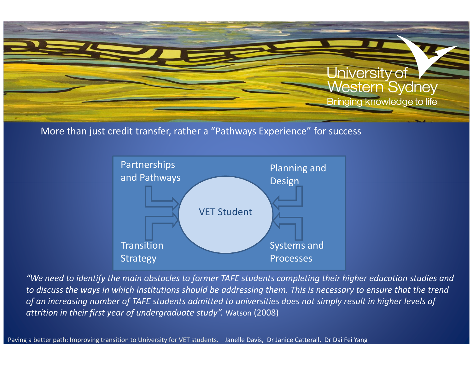

#### More than just credit transfer, rather a "Pathways Experience" for success



"We need to identify the main obstacles to former TAFE students completing their higher education studies and to discuss the ways in which institutions should be addressing them. This is necessary to ensure that the trend of an increasing number of TAFE students admitted to universities does not simply result in higher levels of attrition in their first year of undergraduate study". Watson (2008)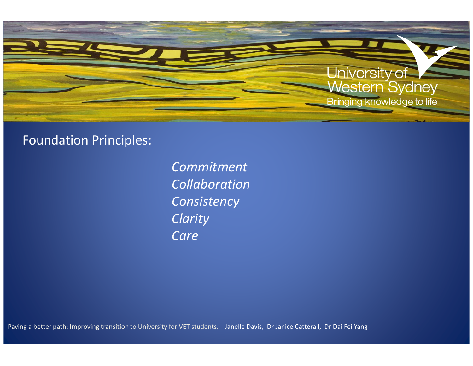

#### Foundation Principles:

CommitmentCollaboration**Consistency Clarity Care**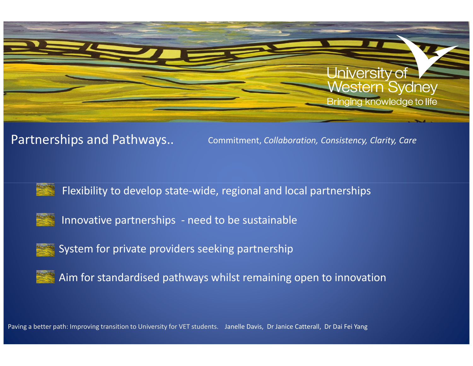

Partnerships and Pathways..

Commitment, Collaboration, Consistency, Clarity, Care



Flexibility to develop state-wide, regional and local partnerships



Innovative partnerships - need to be sustainable



System for private providers seeking partnership



Aim for standardised pathways whilst remaining open to innovation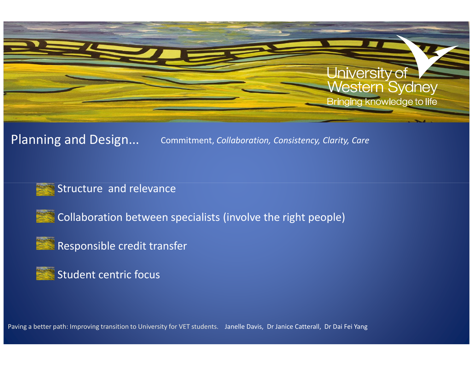

#### Planning and Design...Commitment, Collaboration, Consistency, Clarity, Care





 $\blacksquare$  Collaboration between specialists (involve the right people)



 $\blacksquare$  Responsible credit transfer

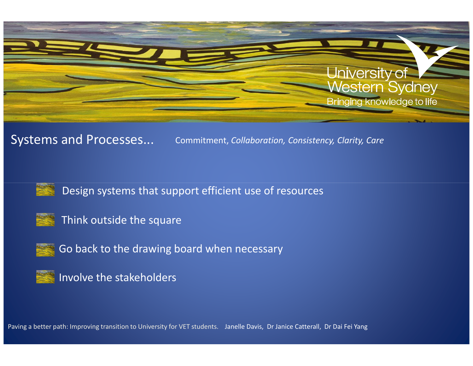

Systems and Processes...

Commitment, Collaboration, Consistency, Clarity, Care



Design systems that support efficient use of resources



Think outside the square



Go back to the drawing board when necessary



Involve the stakeholders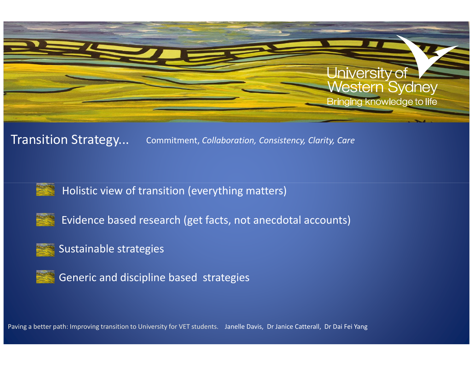

#### Transition Strategy...Commitment, Collaboration, Consistency, Clarity, Care



Holistic view of transition (everything matters)



•

Evidence based research (get facts, not anecdotal accounts)

#### Sustainable strategies

Generic and discipline based strategies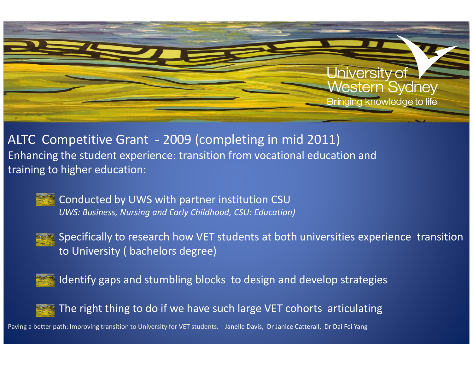

ALTC Competitive Grant - 2009 (completing in mid 2011) Enhancing the student experience: transition from vocational education and training to higher education:



Conducted by UWS with partner institution CSUUWS: Business, Nursing and Early Childhood, CSU: Education)



Specifically to research how VET students at both universities experience transition to University ( bachelors degree)



Identify gaps and stumbling blocks to design and develop strategies



The right thing to do if we have such large VET cohorts articulating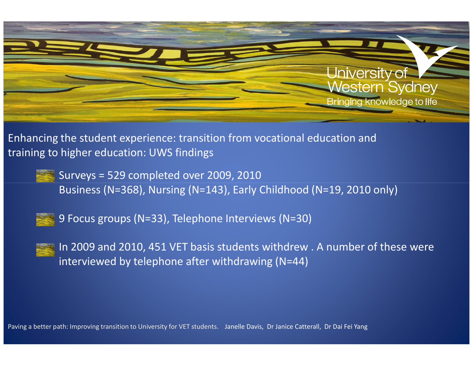

Enhancing the student experience: transition from vocational education and training to higher education: UWS findings

Surveys = 529 completed over 2009, 2010Business (N=368), Nursing (N=143), Early Childhood (N=19, 2010 only)



9 Focus groups (N=33), Telephone Interviews (N=30)



In 2009 and 2010, 451 VET basis students withdrew . A number of these were interviewed by telephone after withdrawing (N=44)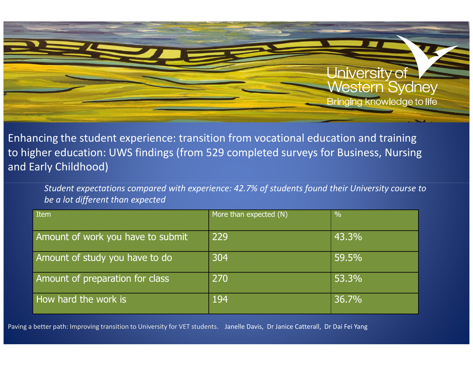

Enhancing the student experience: transition from vocational education and training to higher education: UWS findings (from 529 completed surveys for Business, Nursing and Early Childhood)

Student expectations compared with experience: 42.7% of students found their University course to be a lot different than expected

| Item                              | More than expected (N) | $\%$  |
|-----------------------------------|------------------------|-------|
| Amount of work you have to submit | 229                    | 43.3% |
| Amount of study you have to do    | 304                    | 59.5% |
| Amount of preparation for class   | 270                    | 53.3% |
| How hard the work is              | 194                    | 36.7% |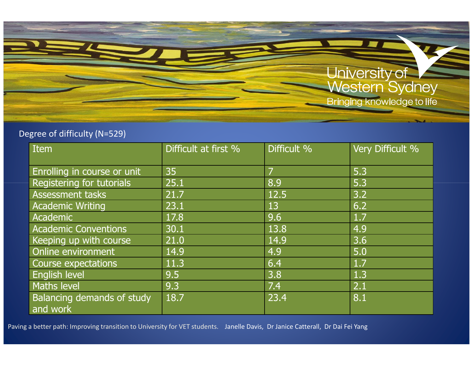## University of<br>Western Sydney Bringing knowledge to life

#### Degree of difficulty (N=529)

| Item                                          | Difficult at first % | Difficult % | Very Difficult % |
|-----------------------------------------------|----------------------|-------------|------------------|
| Enrolling in course or unit                   | 35                   | 7           | 5.3              |
| <b>Registering for tutorials</b>              | 25.1                 | 8.9         | 5.3              |
| Assessment tasks                              | 21.7                 | 12.5        | 3.2              |
| <b>Academic Writing</b>                       | 23.1                 | 13          | 6.2              |
| Academic                                      | 17.8                 | 9.6         | 1.7              |
| <b>Academic Conventions</b>                   | 30.1                 | 13.8        | 4.9              |
| Keeping up with course                        | 21.0                 | 14.9        | 3.6              |
| Online environment                            | 14.9                 | 4.9         | 5.0              |
| Course expectations                           | 11.3                 | 6.4         | 1.7              |
| English level                                 | 9.5                  | 3.8         | 1.3              |
| <b>Maths level</b>                            | 9.3                  | 7.4         | 2.1              |
| <b>Balancing demands of study</b><br>and work | 18.7                 | 23.4        | 8.1              |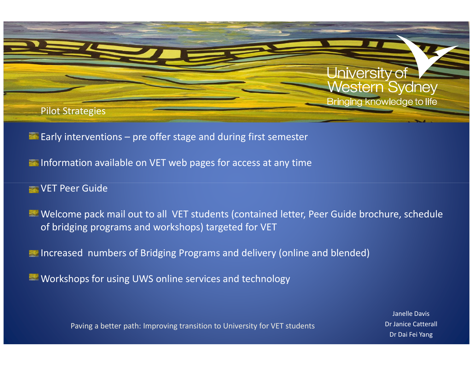

- $\blacksquare$  Early interventions pre offer stage and during first semester
- **Information available on VET web pages for access at any time**
- **WET Peer Guide**
- Welcome pack mail out to all VET students (contained letter, Peer Guide brochure, schedule of bridging programs and workshops) targeted for VET
- Increased numbers of Bridging Programs and delivery (online and blended)
- Workshops for using UWS online services and technology

Janelle DavisDr Janice CatterallDr Dai Fei Yang

Paving a better path: Improving transition to University for VET students